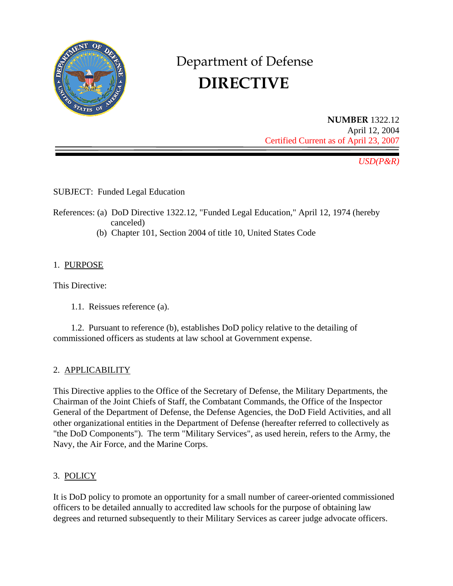

# Department of Defense  **DIRECTIVE**

**NUMBER** 1322.12 April 12, 2004 Certified Current as of April 23, 2007

*USD(P&R)* 

SUBJECT: Funded Legal Education

- References: (a) DoD Directive 1322.12, "Funded Legal Education," April 12, 1974 (hereby canceled)
	- (b) Chapter 101, Section 2004 of title 10, United States Code

# 1. PURPOSE

This Directive:

1.1. Reissues reference (a).

1.2. Pursuant to reference (b), establishes DoD policy relative to the detailing of commissioned officers as students at law school at Government expense.

### 2. APPLICABILITY

This Directive applies to the Office of the Secretary of Defense, the Military Departments, the Chairman of the Joint Chiefs of Staff, the Combatant Commands, the Office of the Inspector General of the Department of Defense, the Defense Agencies, the DoD Field Activities, and all other organizational entities in the Department of Defense (hereafter referred to collectively as "the DoD Components"). The term "Military Services", as used herein, refers to the Army, the Navy, the Air Force, and the Marine Corps.

# 3. POLICY

It is DoD policy to promote an opportunity for a small number of career-oriented commissioned officers to be detailed annually to accredited law schools for the purpose of obtaining law degrees and returned subsequently to their Military Services as career judge advocate officers.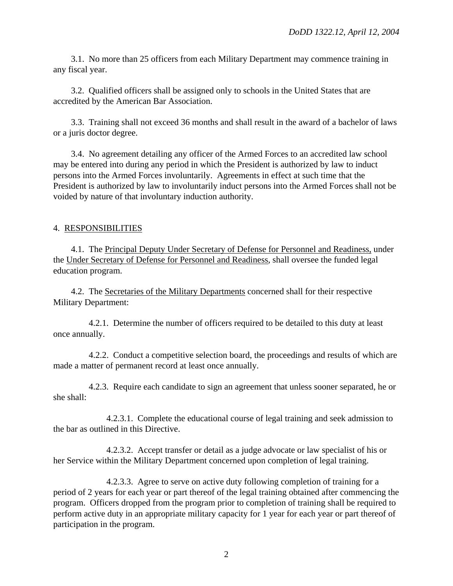3.1. No more than 25 officers from each Military Department may commence training in any fiscal year.

3.2. Qualified officers shall be assigned only to schools in the United States that are accredited by the American Bar Association.

3.3. Training shall not exceed 36 months and shall result in the award of a bachelor of laws or a juris doctor degree.

3.4. No agreement detailing any officer of the Armed Forces to an accredited law school may be entered into during any period in which the President is authorized by law to induct persons into the Armed Forces involuntarily. Agreements in effect at such time that the President is authorized by law to involuntarily induct persons into the Armed Forces shall not be voided by nature of that involuntary induction authority.

#### 4. RESPONSIBILITIES

4.1. The Principal Deputy Under Secretary of Defense for Personnel and Readiness, under the Under Secretary of Defense for Personnel and Readiness, shall oversee the funded legal education program.

4.2. The Secretaries of the Military Departments concerned shall for their respective Military Department:

4.2.1. Determine the number of officers required to be detailed to this duty at least once annually.

4.2.2. Conduct a competitive selection board, the proceedings and results of which are made a matter of permanent record at least once annually.

4.2.3. Require each candidate to sign an agreement that unless sooner separated, he or she shall:

4.2.3.1. Complete the educational course of legal training and seek admission to the bar as outlined in this Directive.

4.2.3.2. Accept transfer or detail as a judge advocate or law specialist of his or her Service within the Military Department concerned upon completion of legal training.

4.2.3.3. Agree to serve on active duty following completion of training for a period of 2 years for each year or part thereof of the legal training obtained after commencing the program. Officers dropped from the program prior to completion of training shall be required to perform active duty in an appropriate military capacity for 1 year for each year or part thereof of participation in the program.

2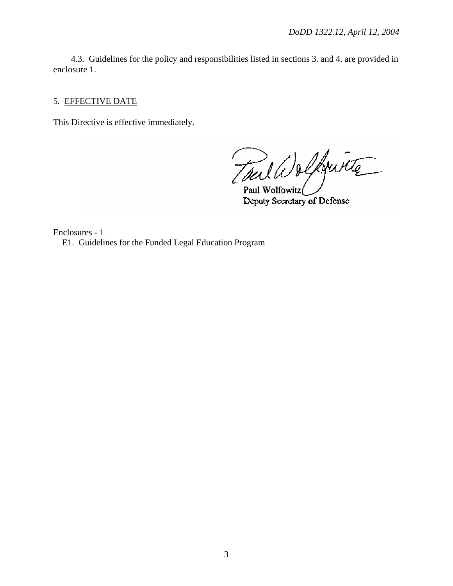4.3. Guidelines for the policy and responsibilities listed in sections 3. and 4. are provided in enclosure 1.

### 5. EFFECTIVE DATE

This Directive is effective immediately.

Tuil Wolfwitz

Paul Wolfowitz Deputy Secretary of Defense

Enclosures - 1 E1. Guidelines for the Funded Legal Education Program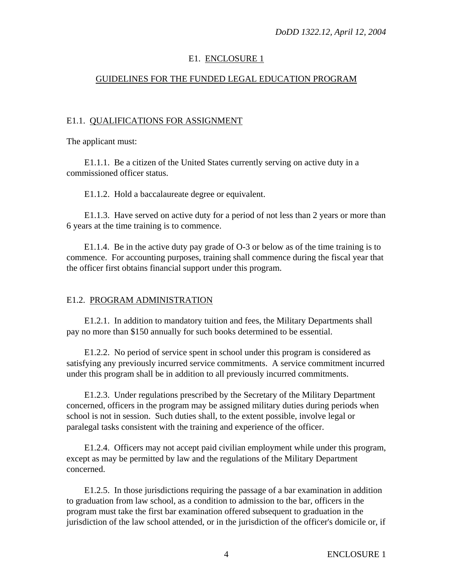## E1. ENCLOSURE 1

## GUIDELINES FOR THE FUNDED LEGAL EDUCATION PROGRAM

### E1.1. QUALIFICATIONS FOR ASSIGNMENT

The applicant must:

E1.1.1. Be a citizen of the United States currently serving on active duty in a commissioned officer status.

E1.1.2. Hold a baccalaureate degree or equivalent.

E1.1.3. Have served on active duty for a period of not less than 2 years or more than 6 years at the time training is to commence.

E1.1.4. Be in the active duty pay grade of O-3 or below as of the time training is to commence. For accounting purposes, training shall commence during the fiscal year that the officer first obtains financial support under this program.

### E1.2. PROGRAM ADMINISTRATION

E1.2.1. In addition to mandatory tuition and fees, the Military Departments shall pay no more than \$150 annually for such books determined to be essential.

E1.2.2. No period of service spent in school under this program is considered as satisfying any previously incurred service commitments. A service commitment incurred under this program shall be in addition to all previously incurred commitments.

E1.2.3. Under regulations prescribed by the Secretary of the Military Department concerned, officers in the program may be assigned military duties during periods when school is not in session. Such duties shall, to the extent possible, involve legal or paralegal tasks consistent with the training and experience of the officer.

E1.2.4. Officers may not accept paid civilian employment while under this program, except as may be permitted by law and the regulations of the Military Department concerned.

E1.2.5. In those jurisdictions requiring the passage of a bar examination in addition to graduation from law school, as a condition to admission to the bar, officers in the program must take the first bar examination offered subsequent to graduation in the jurisdiction of the law school attended, or in the jurisdiction of the officer's domicile or, if